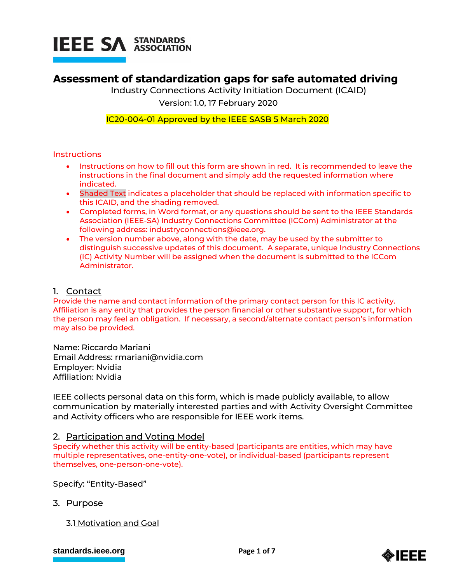

# **Assessment of standardization gaps for safe automated driving**

Industry Connections Activity Initiation Document (ICAID)

Version: 1.0, 17 February 2020

# IC20-004-01 Approved by the IEEE SASB 5 March 2020

#### **Instructions**

- Instructions on how to fill out this form are shown in red. It is recommended to leave the instructions in the final document and simply add the requested information where indicated.
- Shaded Text indicates a placeholder that should be replaced with information specific to this ICAID, and the shading removed.
- Completed forms, in Word format, or any questions should be sent to the IEEE Standards Association (IEEE-SA) Industry Connections Committee (ICCom) Administrator at the following address: [industryconnections@ieee.org.](mailto:industryconnections@ieee.org)
- The version number above, along with the date, may be used by the submitter to distinguish successive updates of this document. A separate, unique Industry Connections (IC) Activity Number will be assigned when the document is submitted to the ICCom Administrator.

#### 1. Contact

Provide the name and contact information of the primary contact person for this IC activity. Affiliation is any entity that provides the person financial or other substantive support, for which the person may feel an obligation. If necessary, a second/alternate contact person's information may also be provided.

Name: Riccardo Mariani Email Address: rmariani@nvidia.com Employer: Nvidia Affiliation: Nvidia

IEEE collects personal data on this form, which is made publicly available, to allow communication by materially interested parties and with Activity Oversight Committee and Activity officers who are responsible for IEEE work items.

#### 2. Participation and Voting Model

Specify whether this activity will be entity-based (participants are entities, which may have multiple representatives, one-entity-one-vote), or individual-based (participants represent themselves, one-person-one-vote).

Specify: "Entity-Based"

- 3. Purpose
	- 3.1 Motivation and Goal

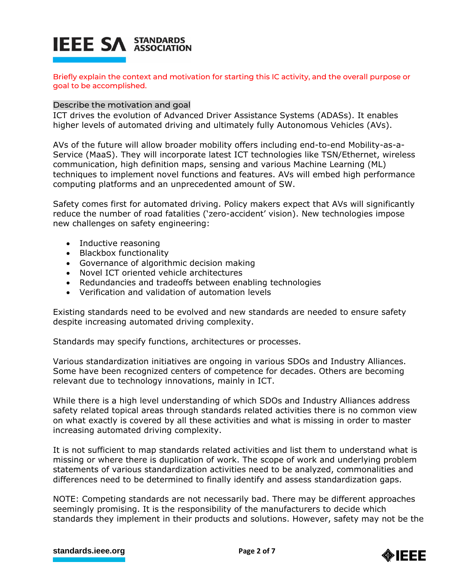# **IEEE SA STANDARDS**

Briefly explain the context and motivation for starting this IC activity, and the overall purpose or goal to be accomplished.

#### Describe the motivation and goal

ICT drives the evolution of Advanced Driver Assistance Systems (ADASs). It enables higher levels of automated driving and ultimately fully Autonomous Vehicles (AVs).

AVs of the future will allow broader mobility offers including end-to-end Mobility-as-a-Service (MaaS). They will incorporate latest ICT technologies like TSN/Ethernet, wireless communication, high definition maps, sensing and various Machine Learning (ML) techniques to implement novel functions and features. AVs will embed high performance computing platforms and an unprecedented amount of SW.

Safety comes first for automated driving. Policy makers expect that AVs will significantly reduce the number of road fatalities ('zero-accident' vision). New technologies impose new challenges on safety engineering:

- Inductive reasoning
- Blackbox functionality
- Governance of algorithmic decision making
- Novel ICT oriented vehicle architectures
- Redundancies and tradeoffs between enabling technologies
- Verification and validation of automation levels

Existing standards need to be evolved and new standards are needed to ensure safety despite increasing automated driving complexity.

Standards may specify functions, architectures or processes.

Various standardization initiatives are ongoing in various SDOs and Industry Alliances. Some have been recognized centers of competence for decades. Others are becoming relevant due to technology innovations, mainly in ICT.

While there is a high level understanding of which SDOs and Industry Alliances address safety related topical areas through standards related activities there is no common view on what exactly is covered by all these activities and what is missing in order to master increasing automated driving complexity.

It is not sufficient to map standards related activities and list them to understand what is missing or where there is duplication of work. The scope of work and underlying problem statements of various standardization activities need to be analyzed, commonalities and differences need to be determined to finally identify and assess standardization gaps.

NOTE: Competing standards are not necessarily bad. There may be different approaches seemingly promising. It is the responsibility of the manufacturers to decide which standards they implement in their products and solutions. However, safety may not be the

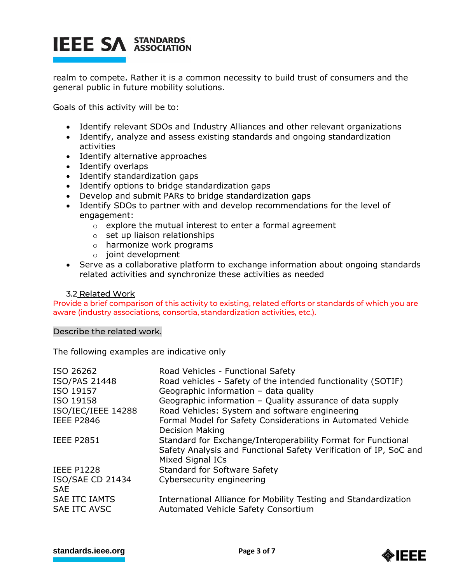# **IEEE SA STANDARDS**

realm to compete. Rather it is a common necessity to build trust of consumers and the general public in future mobility solutions.

Goals of this activity will be to:

- Identify relevant SDOs and Industry Alliances and other relevant organizations
- Identify, analyze and assess existing standards and ongoing standardization activities
- Identify alternative approaches
- Identify overlaps
- Identify standardization gaps
- Identify options to bridge standardization gaps
- Develop and submit PARs to bridge standardization gaps
- Identify SDOs to partner with and develop recommendations for the level of engagement:
	- $\circ$  explore the mutual interest to enter a formal agreement
	- o set up liaison relationships
	- o harmonize work programs
	- o joint development
- Serve as a collaborative platform to exchange information about ongoing standards related activities and synchronize these activities as needed

#### 3.2 Related Work

Provide a brief comparison of this activity to existing, related efforts or standards of which you are aware (industry associations, consortia, standardization activities, etc.).

#### Describe the related work.

The following examples are indicative only

| ISO 26262               | Road Vehicles - Functional Safety                                 |
|-------------------------|-------------------------------------------------------------------|
| ISO/PAS 21448           | Road vehicles - Safety of the intended functionality (SOTIF)      |
| ISO 19157               |                                                                   |
|                         | Geographic information - data quality                             |
| ISO 19158               | Geographic information - Quality assurance of data supply         |
| ISO/IEC/IEEE 14288      | Road Vehicles: System and software engineering                    |
| <b>IEEE P2846</b>       | Formal Model for Safety Considerations in Automated Vehicle       |
|                         | <b>Decision Making</b>                                            |
| <b>IEEE P2851</b>       | Standard for Exchange/Interoperability Format for Functional      |
|                         | Safety Analysis and Functional Safety Verification of IP, SoC and |
|                         | Mixed Signal ICs                                                  |
| <b>IEEE P1228</b>       | <b>Standard for Software Safety</b>                               |
| <b>ISO/SAE CD 21434</b> | Cybersecurity engineering                                         |
| <b>SAE</b>              |                                                                   |
| <b>SAE ITC IAMTS</b>    | International Alliance for Mobility Testing and Standardization   |
| <b>SAE ITC AVSC</b>     | Automated Vehicle Safety Consortium                               |

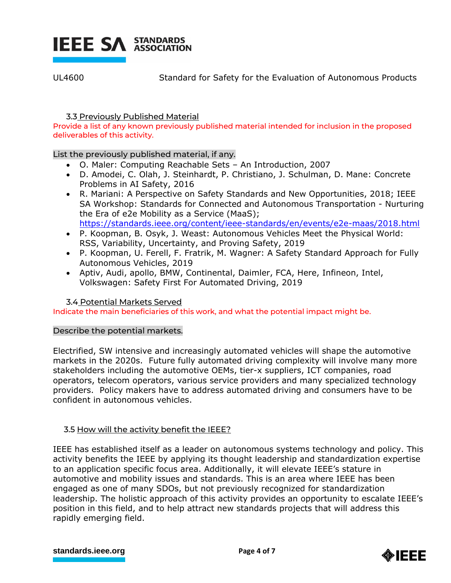

UL4600 Standard for Safety for the Evaluation of Autonomous Products

# 3.3 Previously Published Material

Provide a list of any known previously published material intended for inclusion in the proposed deliverables of this activity.

# List the previously published material, if any.

- O. Maler: Computing Reachable Sets An Introduction, 2007
- D. Amodei, C. Olah, J. Steinhardt, P. Christiano, J. Schulman, D. Mane: Concrete Problems in AI Safety, 2016
- R. Mariani: A Perspective on Safety Standards and New Opportunities, 2018; IEEE SA Workshop: Standards for Connected and Autonomous Transportation - Nurturing the Era of e2e Mobility as a Service (MaaS); <https://standards.ieee.org/content/ieee-standards/en/events/e2e-maas/2018.html>
- P. Koopman, B. Osyk, J. Weast: Autonomous Vehicles Meet the Physical World: RSS, Variability, Uncertainty, and Proving Safety, 2019
- P. Koopman, U. Ferell, F. Fratrik, M. Wagner: A Safety Standard Approach for Fully Autonomous Vehicles, 2019
- Aptiv, Audi, apollo, BMW, Continental, Daimler, FCA, Here, Infineon, Intel, Volkswagen: Safety First For Automated Driving, 2019

# 3.4 Potential Markets Served

Indicate the main beneficiaries of this work, and what the potential impact might be.

# Describe the potential markets.

Electrified, SW intensive and increasingly automated vehicles will shape the automotive markets in the 2020s. Future fully automated driving complexity will involve many more stakeholders including the automotive OEMs, tier-x suppliers, ICT companies, road operators, telecom operators, various service providers and many specialized technology providers. Policy makers have to address automated driving and consumers have to be confident in autonomous vehicles.

# 3.5 How will the activity benefit the IEEE?

IEEE has established itself as a leader on autonomous systems technology and policy. This activity benefits the IEEE by applying its thought leadership and standardization expertise to an application specific focus area. Additionally, it will elevate IEEE's stature in automotive and mobility issues and standards. This is an area where IEEE has been engaged as one of many SDOs, but not previously recognized for standardization leadership. The holistic approach of this activity provides an opportunity to escalate IEEE's position in this field, and to help attract new standards projects that will address this rapidly emerging field.

#### **[standards.ieee.org](http://standards.ieee.org/) EXECUTE: Page 4 of 7**

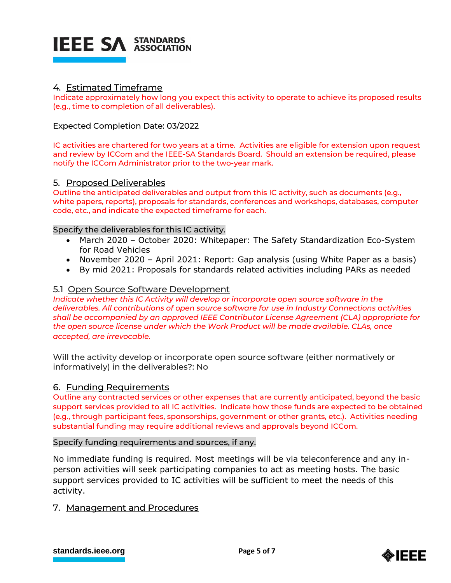

### 4. Estimated Timeframe

Indicate approximately how long you expect this activity to operate to achieve its proposed results (e.g., time to completion of all deliverables).

#### Expected Completion Date: 03/2022

IC activities are chartered for two years at a time. Activities are eligible for extension upon request and review by ICCom and the IEEE-SA Standards Board. Should an extension be required, please notify the ICCom Administrator prior to the two-year mark.

#### 5. Proposed Deliverables

Outline the anticipated deliverables and output from this IC activity, such as documents (e.g., white papers, reports), proposals for standards, conferences and workshops, databases, computer code, etc., and indicate the expected timeframe for each.

#### Specify the deliverables for this IC activity.

- March 2020 October 2020: Whitepaper: The Safety Standardization Eco-System for Road Vehicles
- November 2020 April 2021: Report: Gap analysis (using White Paper as a basis)
- By mid 2021: Proposals for standards related activities including PARs as needed

#### 5.1 Open Source Software Development

*Indicate whether this IC Activity will develop or incorporate open source software in the deliverables. All contributions of open source software for use in Industry Connections activities shall be accompanied by an approved IEEE Contributor License Agreement (CLA) appropriate for the open source license under which the Work Product will be made available. CLAs, once accepted, are irrevocable.*

Will the activity develop or incorporate open source software (either normatively or informatively) in the deliverables?: No

#### 6. Funding Requirements

Outline any contracted services or other expenses that are currently anticipated, beyond the basic support services provided to all IC activities. Indicate how those funds are expected to be obtained (e.g., through participant fees, sponsorships, government or other grants, etc.). Activities needing substantial funding may require additional reviews and approvals beyond ICCom.

#### Specify funding requirements and sources, if any.

No immediate funding is required. Most meetings will be via teleconference and any inperson activities will seek participating companies to act as meeting hosts. The basic support services provided to IC activities will be sufficient to meet the needs of this activity.

#### 7. Management and Procedures

**[standards.ieee.org](http://standards.ieee.org/)**<br> **Page 5 of 7** 

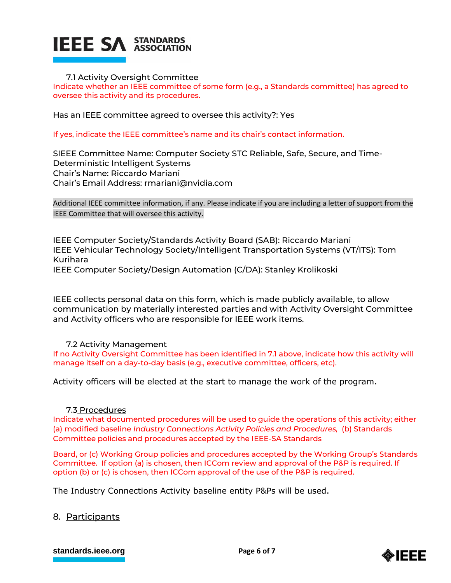

#### 7.1 Activity Oversight Committee

Indicate whether an IEEE committee of some form (e.g., a Standards committee) has agreed to oversee this activity and its procedures.

Has an IEEE committee agreed to oversee this activity?: Yes

If yes, indicate the IEEE committee's name and its chair's contact information.

SIEEE Committee Name: Computer Society STC Reliable, Safe, Secure, and Time-Deterministic Intelligent Systems Chair's Name: Riccardo Mariani Chair's Email Address: rmariani@nvidia.com

Additional IEEE committee information, if any. Please indicate if you are including a letter of support from the IEEE Committee that will oversee this activity.

IEEE Computer Society/Standards Activity Board (SAB): Riccardo Mariani IEEE Vehicular Technology Society/Intelligent Transportation Systems (VT/ITS): Tom Kurihara

IEEE Computer Society/Design Automation (C/DA): Stanley Krolikoski

IEEE collects personal data on this form, which is made publicly available, to allow communication by materially interested parties and with Activity Oversight Committee and Activity officers who are responsible for IEEE work items.

#### 7.2 Activity Management

If no Activity Oversight Committee has been identified in 7.1 above, indicate how this activity will manage itself on a day-to-day basis (e.g., executive committee, officers, etc).

Activity officers will be elected at the start to manage the work of the program.

#### 7.3 Procedures

Indicate what documented procedures will be used to guide the operations of this activity; either (a) modified baseline *Industry Connections Activity Policies and Procedures,* (b) Standards Committee policies and procedures accepted by the IEEE-SA Standards

Board, or (c) Working Group policies and procedures accepted by the Working Group's Standards Committee. If option (a) is chosen, then ICCom review and approval of the P&P is required. If option (b) or (c) is chosen, then ICCom approval of the use of the P&P is required.

The Industry Connections Activity baseline entity P&Ps will be used.

#### 8. Participants